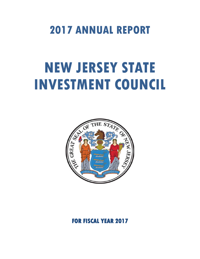## **2017 ANNUAL REPORT**

# **NEW JERSEY STATE INVESTMENT COUNCIL**



### **FOR FISCAL YEAR 2017**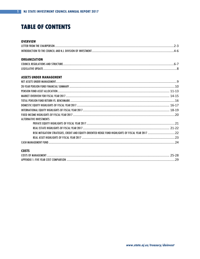### **TABLE OF CONTENTS**

#### **OVERVIEW**

### **ORGANIZATION**

### **ASSETS UNDER MANAGEMENT**

| <b>ALTERNATIVE INVESTMENTS</b> |  |
|--------------------------------|--|
|                                |  |
|                                |  |
|                                |  |
|                                |  |
|                                |  |

### **COSTS**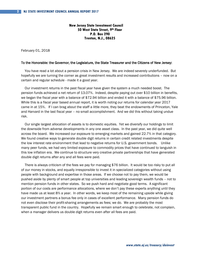**New Jersey State Investment Council 50 West State Street, 9th Floor P.O. Box 290 Trenton, N.J., 08625**

February 01, 2018

#### To the Honorable: the Governor, the Legislature, the State Treasurer and the Citizens of New Jersey:

 You have read a lot about a pension crisis in New Jersey. We are indeed severely underfunded. But hopefully we are turning the corner as great investment results and increased contributions – now on a certain and regular schedule - made it a good year.

 Our investment returns in the past fiscal year have given the system a much needed boost. The pension funds achieved a net return of 13.07%. Indeed, despite paying out over \$10 billion in benefits, we began the fiscal year with a balance of \$72.94 billion and ended it with a balance of \$75.96 billion. While this is a fiscal year based annual report, it is worth noting our returns for calendar year 2017 came in at 15%. If I can brag about the staff a little more, they beat the endowments of Princeton, Yale and Harvard in the last fiscal year – no small accomplishment. And we did this without taking undue risk.

 Our single largest allocation of assets is to domestic equities. Yet we diversify our holdings to limit the downside from adverse developments in any one asset class. In the past year, we did quite well across the board. We increased our exposure to emerging markets and gained 22.7% in that category. We found creative ways to generate double digit returns in certain credit related investments despite the low interest rate environment that lead to negative returns for U.S. government bonds. Unlike many peer funds, we had very limited exposure to commodity prices that have continued to languish in this low inflation era. We continue to structure very creative private partnerships that have generated double digit returns after any and all fees were paid.

 There is always criticism of the fees we pay for managing \$76 billion. It would be too risky to put all of our money in stocks, and equally irresponsible to invest it in specialized categories without using people with background and expertise in those areas. If we choose not to pay them, we would be pushed aside by plenty of smart people at top universities and leading sovereign wealth funds – not to mention pension funds in other states. So we push hard and negotiate good terms. A significant portion of our costs are performance allocations, where we don't pay these experts anything until they have made us at least 8% a year. In other words, we keep most of the remaining upside while giving our investment partners a bonus fee only in cases of excellent performance. Many pension funds do not even disclose their profit-sharing arrangements as fees; we do. We are probably the most transparent public fund in the country. Hopefully we remain smart enough to celebrate, not complain, when a manager delivers us double digit returns even after all fees are paid.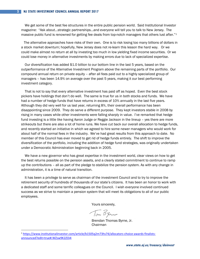We get some of the best fee structures in the entire public pension world. Said Institutional Investor magazine: "Ask about…strategic partnerships…and everyone will tell you to talk to New Jersey. The massive public fund is renowned for getting fee deals from top-notch managers that others lust after."<sup>1</sup>

 The alternative approaches have risks of their own. One is to risk losing too many billions of dollars in a stock market downturn; hopefully, New Jersey does not re-learn this lesson the hard way. Or we could make almost no return at all by investing too much in low yielding fixed income securities. Or we could lose money in alternative investments by making errors due to lack of specialized expertise.

 Our diversification has added \$1.0 billion to our bottom line in the last 5 years, based on the outperformance of the Alternative Investment Program above the remaining parts of the portfolio. Our compound annual return on private equity – after all fees paid out to a highly specialized group of managers – has been 14.9% on average over the past 5 years, making it our best performing investment category.

 That is not to say that every alternative investment has paid off as hoped. Even the best stock pickers have holdings that don't do well. The same is true for us in both stocks and funds. We have had a number of hedge funds that have returns in excess of 10% annually in the last five years. Although they did very well for us last year, returning 8%, their overall performance has been disappointing since 2009. They do serve a different purpose. They kept investors stable in 2008 by rising in many cases while other investments were falling sharply in value. I've remarked that hedge fund investing is a little like having Aaron Judge or Reggie Jackson in the lineup – yes there are more strikeouts but there are also a lot of home runs. We have cut back our overall allocation to hedge funds, and recently started an initiative in which we agreed to hire some newer managers who would work for about half of the normal fees in the industry. We've had great results from this approach to date. No member of this Council has ever moved to get rid of hedge funds entirely. The shift to improve the diversification of the portfolio, including the addition of hedge fund strategies, was originally undertaken under a Democratic Administration beginning back in 2005.

 We have a new governor who has great expertise in the investment world, clear views on how to get the best returns possible on the pension assets, and a clearly stated commitment to continue to ramp up the contributions – all as part of the pledge to stabilize the pension system. As with any change in administration, it is a time of natural transition.

 It has been a privilege to serve as chairman of the investment Council and to try to improve the retirement security of hundreds of thousands of our state's citizens. It has been an honor to work with a dedicated staff and some terrific colleagues on the Council. I wish everyone involved continued success as we strive to maintain a pension system that will meet its obligations to all of our public employees.

Yours sincerely,

Tom Byrn

Brendan Thomas Byrne, Jr. Chairman

<span id="page-3-0"></span> <sup>1</sup> [https://www.institutionalinvestor.com/article/b1505q2m73hs74/allocators-choice-awards-finalists](https://www.institutionalinvestor.com/article/b1505q2m73hs74/allocators-choice-awards-finalists-announced?edit=true%23.WZsw9K2ZOi4)[announced?edit=true#.WZsw9K2ZOi4](https://www.institutionalinvestor.com/article/b1505q2m73hs74/allocators-choice-awards-finalists-announced?edit=true%23.WZsw9K2ZOi4)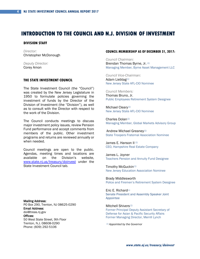### **INTRODUCTION TO THE COUNCIL AND N.J. DIVISION OF INVESTMENT**

#### **DIVISION STAFF**

*Director:* Christopher McDonough

*Deputy Director:* Corey Amon

### **THE STATE INVESTMENT COUNCIL**

The State Investment Council (the "Council") was created by the New Jersey Legislature in 1950 to formulate policies governing the investment of funds by the Director of the Division of Investment (the "Division"), as well as to consult with the Director with respect to the work of the Division.

The Council conducts meetings to discuss major investment policy issues, review Pension Fund performance and accept comments from members of the public. Other investment programs and returns are reviewed annually or when needed.

Council meetings are open to the public. Agendas, meeting times and locations are available on the Division's website, [www.state.nj.us/treasury/doinvest](http://www.state.nj.us/treasury/doinvest) under the State Investment Council tab.

Mailing Address: PO Box 290, Trenton, NJ 08625-0290 Email Address: doi@treas.nj.gov Offices: 50 West State Street, 9th Floor Trenton, N.J. 08608-0290 Phone: (609) 292-5106

#### **COUNCIL MEMBERSHIP AS OF DECEMBER 31, 2017:**

*Council Chairman:* Brendan Thomas Byrne, Jr. *(1)*  Managing Member, Byrne Asset Management LLC

*Council Vice-Chairman:* Adam Liebtag*(1)* New Jersey State AFL-CIO Nominee

*Council Members:* Thomas Bruno, Jr. Public Employees Retirement System Designee

Michael Cleary*(1)*  New Jersey State AFL-CIO Nominee

Charles Dolan*(1)* Managing Member, Global Markets Advisory Group

Andrew Michael Greaney*(1)*  State Troopers Fraternal Association Nominee

James E. Hanson II *(1)* CEO, Hampshire Real Estate Company

James L. Joyner Teachers Pension and Annuity Fund Designee

Timothy McGuckin*(1)*  New Jersey Education Association Nominee

Brady Middlesworth Police and Firemen's Retirement System Designee

Eric E. Richard*(1)* Senate President and Assembly Speaker Joint Appointee

Mitchell Shivers*(1)*  Former Principal Deputy Assistant Secretary of Defense for Asian & Pacific Security Affairs Former Managing Director, Merrill Lynch

*(1) Appointed by the Governor*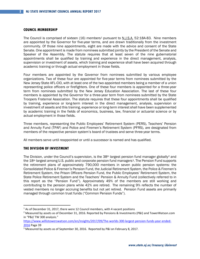#### **COUNCIL MEMBERSHIP**

The Council is comprised of sixteen ([1](#page-5-0)6) members<sup>1</sup> pursuant to N.J.S.A. 52:18A-83. Nine members are appointed by the Governor for five-year terms, and are drawn traditionally from the investment community. Of those nine appointments, eight are made with the advice and consent of the State Senate. One appointment is made from nominees submitted jointly by the President of the Senate and Speaker of the Assembly. The statute requires that at least seven of the nine gubernatorial appointments shall be qualified by training and experience in the direct management, analysis, supervision or investment of assets, which training and experience shall have been acquired through academic training or through actual employment in those fields.

Four members are appointed by the Governor from nominees submitted by various employee organizations. Two of these four are appointed for five-year terms from nominees submitted by the New Jersey State AFL-CIO, with at least one of the two appointed members being a member of a union representing police officers or firefighters. One of these four members is appointed for a three-year term from nominees submitted by the New Jersey Education Association. The last of these four members is appointed by the Governor for a three-year term from nominees submitted by the State Troopers Fraternal Association. The statute requires that these four appointments shall be qualified by training, experience or long-term interest in the direct management, analysis, supervision or investment of assets and this training, experience or long-term interest shall have been supplemented by academic training in the fields of economics, business, law, financial or actuarial science or by actual employment in those fields.

Three members, representing the Public Employees' Retirement System (PERS), Teachers' Pension and Annuity Fund (TPAF) and Police and Firemen's Retirement System (PFRS), are designated from members of the respective pension system's board of trustees and serve three-year terms.

All members serve until reappointed or until a successor is named and has qualified.

#### **THE DIVISION OF INVESTMENT**

The Division, under the Council's supervision, is the  $38th$  largest pension fund manager globally<sup>2</sup> and the 18<sup>th</sup> largest among U.S. public and corporate pension fund managers<sup>3</sup>. The Pension Fund supports the retirement plans of approximately 790,000 members in seven public pension systems: the Consolidated Police & Firemen's Pension Fund, the Judicial Retirement System, the Police & Firemen's Retirement System, the Prison Officers Pension Fund, the Public Employees' Retirement System, the State Police Retirement System and the Teachers' Pension & Annuity Fund (collectively referred to in this report as the "Pension Fund"). Approximately 49% of the members are still working and contributing to the pension plans while 42% are retired. The remaining 9% reflects the number of vested members no longer accruing benefits but not yet retired. Pension Fund assets are primarily managed through common trust funds ("Common Pension Funds").

<span id="page-5-0"></span><sup>&</sup>lt;sup>1</sup> As of December 31, 2017, there were 12 Council members, with 4 vacant positions

<span id="page-5-1"></span><sup>&</sup>lt;sup>2</sup> Measured by assets as of December 31, 2016. Reported by Pensions & Investments (P&I) and TowerWatson.com in "P&I/ TW 300 analysis."

[https://www.willistowerswatson.com/en/insights/2017/09/The-worlds-300-largest-pension-funds-year-ended-](https://www.willistowerswatson.com/en/insights/2017/09/The-worlds-300-largest-pension-funds-year-ended-2016)[2016](https://www.willistowerswatson.com/en/insights/2017/09/The-worlds-300-largest-pension-funds-year-ended-2016) Page 39

<span id="page-5-2"></span> $3$  Measured by assets as of September 30, 2016. Reported by P&I on February 8, 2017.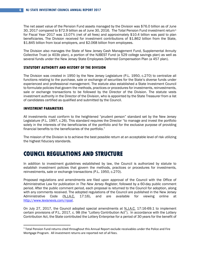The net asset value of the Pension Fund assets managed by the Division was \$76.0 billion as of June 30, 2017 compared to \$72.9 billion as of June 30, 2016. The Total Pension Fund investment return[1](#page-6-0) for Fiscal Year 2017 was 13.07% (net of all fees) and approximately \$10.4 billion was paid to plan beneficiaries. The Division received for investment contributions of \$1.862 billion from the State, \$1.845 billion from local employers, and \$2.068 billion from employees.

The Division also manages the State of New Jersey Cash Management Fund, Supplemental Annuity Collective Trust (a 403b plan), a portion of the NJBEST Fund (a 529 college savings plan) as well as several funds under the New Jersey State Employees Deferred Compensation Plan (a 457 plan).

#### **STATUTORY AUTHORITY AND HISTORY OF THE DIVISION**

The Division was created in 1950 by the New Jersey Legislature (P.L. 1950, c.270) to centralize all functions relating to the purchase, sale or exchange of securities for the State's diverse funds under experienced and professional management. The statute also established a State Investment Council to formulate policies that govern the methods, practices or procedures for investments, reinvestments, sale or exchange transactions to be followed by the Director of the Division. The statute vests investment authority in the Director of the Division, who is appointed by the State Treasurer from a list of candidates certified as qualified and submitted by the Council.

#### **INVESTMENT PARAMETERS**

All investments must conform to the heightened "prudent person" standard set by the New Jersey Legislature (P.L. 1997, c.26). This standard requires the Director "to manage and invest the portfolio solely in the interests of the beneficiaries of the portfolio and for the exclusive purpose of providing financial benefits to the beneficiaries of the portfolio."

The mission of the Division is to achieve the best possible return at an acceptable level of risk utilizing the highest fiduciary standards.

### **COUNCIL REGULATIONS AND STRUCTURE**

In addition to investment guidelines established by law, the Council is authorized by statute to establish investment policies that govern the methods, practices or procedures for investments, reinvestments, sale or exchange transactions (P.L. 1950, c.270).

Proposed regulations and amendments are filed upon approval of the Council with the Office of Administrative Law for publication in *The New Jersey Register*, followed by a 60-day public comment period. After the public comment period, each proposal is returned to the Council for adoption, along with any comments received. The adopted regulations of the Council are published in the New Jersey Administrative Code (N.J.A.C. 17:16), and are available for viewing online at [http://www.lexisnexis.com/njoal.](http://www.lexisnexis.com/njoal)

On July 27, 2017, the Council adopted special amendments at N.J.A.C. 17:16-69.1 to implement certain provisions of P.L. 2017, c. 98 (the "Lottery Contribution Act"). In accordance with the Lottery Contribution Act, the State contributed the Lottery Enterprise for a period of 30 years for the benefit of

<span id="page-6-0"></span> <sup>1</sup> Total Pension Fund returns cited throughout this Annual Report exclude receivables under the Police and Fire Mortgage Program. All investment returns are reported net of all fees.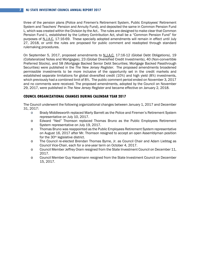#### **7 NJ STATE INVESTMENT COUNCIL ANNUAL REPORT 2017**

three of the pension plans (Police and Firemen's Retirement System, Public Employees' Retirement System and Teachers' Pension and Annuity Fund), and deposited the same in Common Pension Fund L, which was created within the Division by the Act.. The rules are designed to make clear that Common Pension Fund L, established by the Lottery Contribution Act, shall be a "Common Pension Fund" for purposes of N.J.A.C. 17:16-69. These specially adopted amendments will remain in effect until July 27, 2018, or until the rules are proposed for public comment and readopted through standard rulemaking procedures.

On September 5, 2017, proposed amendments to N.J.A.C. 17:16-12 (Global Debt Obligations), 19 (Collateralized Notes and Mortgages), 23 (Global Diversified Credit Investments), 40 (Non-convertible Preferred Stocks), and 58 (Mortgage Backed Senior Debt Securities; Mortgage Backed Passthrough Securities) were published in the *The New Jersey Register*. The proposed amendments broadened permissible investments to be more inclusive of the opportunity set in the credit markets and established separate limitations for global diversified credit (10%) and high yield (8%) investments, which previously had a combined limit of 8%. The public comment period ended on November 3, 2017 and no comments were received. The proposed amendments, adopted by the Council on November 29, 2017, were published in *The New Jersey Register* and became effective on January 2, 2018.

### **COUNCIL ORGANIZATIONAL CHANGES DURING CALENDAR YEAR 2017**

The Council underwent the following organizational changes between January 1, 2017 and December 31, 2017:

- o Brady Middlesworth replaced Marty Barrett as the Police and Firemen's Retirement System representative on July 10, 2017.
- o Edward "Ned" Thomson replaced Thomas Bruno as the Public Employees Retirement System representative on July 19, 2017.
- o Thomas Bruno was reappointed as the Public Employees Retirement System representative on August 16, 2017 after Mr. Thomson resigned to accept an open Assemblyman position for the 30th legislative district.
- o The Council re-elected Brendan Thomas Byrne, Jr. as Council Chair and Adam Liebtag as Council Vice-Chair, each for a one-year term on October 4, 2017.
- o Council Member Jeffrey Oram resigned from the State Investment Council on December 11, 2017.
- o Council Member Guy Haselmann resigned from the State Investment Council on December 15, 2017.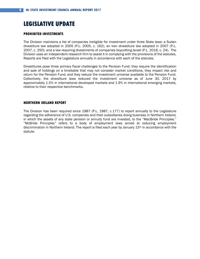### **LEGISLATIVE UPDATE**

#### **PROHIBITED INVESTMENTS**

The Division maintains a list of companies ineligible for investment under three State laws: a Sudan divestiture law adopted in 2005 (P.L. 2005, c. 162), an Iran divestiture law adopted in 2007 (P.L. 2007, c. 250), and a law requiring divestments of companies boycotting Israel (P.L. 2016, c. 24). The Division uses an independent research firm to assist it in complying with the provisions of the statutes. Reports are filed with the Legislature annually in accordance with each of the statutes.

Divestitures pose three primary fiscal challenges to the Pension Fund: they require the identification and sale of holdings on a timetable that may not consider market conditions, they impact risk and return for the Pension Fund, and they reduce the investment universe available to the Pension Fund. Collectively, the divestiture laws reduced the investment universe as of June 30, 2017 by approximately 1.5% in international developed markets and 1.9% in international emerging markets, relative to their respective benchmarks.

#### **NORTHERN IRELAND REPORT**

The Division has been required since 1987 (P.L. 1987, c.177) to report annually to the Legislature regarding the adherence of U.S. companies and their subsidiaries doing business in Northern Ireland, in which the assets of any state pension or annuity fund are invested, to the "MacBride Principles." "McBride Principles" refers to a body of employment laws aimed at reducing employment discrimination in Northern Ireland. The report is filed each year by January 15th in accordance with the statute.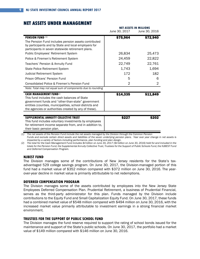|                                                                                                                                                                                                                                                            | June 30, 2017    | IVEI MJJEIJ IIV MILLIUIVJ<br>June 30, 2016 |
|------------------------------------------------------------------------------------------------------------------------------------------------------------------------------------------------------------------------------------------------------------|------------------|--------------------------------------------|
| <b>PENSION FUND (1)</b><br>The Pension Fund includes pension assets contributed<br>by participants and by State and local employers for<br>participants in seven statewide retirement plans.                                                               | \$75,964         | \$72,940                                   |
| Public Employees' Retirement System<br>Police & Firemen's Retirement System                                                                                                                                                                                | 26,834<br>24,459 | 25,473<br>22,822                           |
| Teachers' Pension & Annuity Fund                                                                                                                                                                                                                           | 22,749           | 22,761                                     |
| State Police Retirement System                                                                                                                                                                                                                             | 1,743            | 1,694                                      |
| <b>Judicial Retirement System</b>                                                                                                                                                                                                                          | 172              | 182                                        |
| Prison Officers' Pension Fund                                                                                                                                                                                                                              | 5                | 6                                          |
| Consolidated Police & Firemen's Pension Fund                                                                                                                                                                                                               | 2                | 2                                          |
| Note: Total may not equal sum of components due to rounding                                                                                                                                                                                                |                  |                                            |
| <b>CASH MANAGEMENT FUND(2)</b><br>This fund includes the cash balances of State<br>government funds and "other-than-state" government<br>entities (counties, municipalities, school districts and<br>the agencies or authorities created by any of these). | \$14,335         | \$11,849                                   |
|                                                                                                                                                                                                                                                            |                  |                                            |
| SUPPLEMENTAL ANNUITY COLLECTIVE TRUST<br>This fund includes voluntary investments by employees<br>for retirement income separate from, and in addition to,<br>their basic pension plan.                                                                    | \$227            | \$202                                      |

### **NET ASSETS UNDER MANAGEMENT**

*(1) The net assets of the Pension Fund include the net assets managed by the Division through the Common Pension Funds and exclude certain direct assets and liabilities of the seven underlying pension plans. Year over year change in net assets is* 

*impacted by a variety of factors including performance, plan funding and plan design. (2) The total for the Cash Management Fund includes \$4 billion on June 30, 2017 (\$4 billion on June 30, 2016) held for and included in the totals for the Pension Fund, the Supplemental Annuity Collective Trust, Trustees for the Support of Public Schools Fund, the NJBEST Fund and Deferred Compensation Program.*

#### **NJBEST FUND**

The Division manages some of the contributions of New Jersey residents for the State's taxadvantaged 529 college savings program. On June 30, 2017, the Division-managed portion of this fund had a market value of \$352 million compared with \$372 million on June 30, 2016. The yearover-year decline in market value is primarily attributable to net redemptions.

#### **DEFERRED COMPENSATION PROGRAM**

The Division manages some of the assets contributed by employees into the New Jersey State Employees Deferred Compensation Plan. Prudential Retirement, a business of Prudential Financial, serves as the third-party administrator for this plan. Funds managed by the Division include contributions to the Equity Fund and Small Capitalization Equity Fund. On June 30, 2017, these funds had a combined market value of \$548 million compared with \$494 million on June 30, 2016, with the increased market value primarily attributable to investment earnings in a strong financial market environment.

#### **TRUSTEES FOR THE SUPPORT OF PUBLIC SCHOOL FUND**

The Division manages the fund reserve required to support the rating of school bonds issued for the maintenance and support of the State's public schools. On June 30, 2017, the portfolio had a market value of \$149 million compared with \$146 million on June 30, 2016.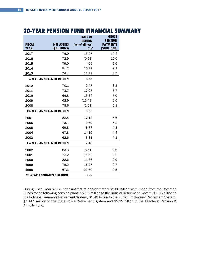### **20-YEAR PENSION FUND FINANCIAL SUMMARY**

|                                  |                   | <b>RATE OF</b><br><b>RETURN</b> | <b>GROSS</b><br><b>PENSION</b> |
|----------------------------------|-------------------|---------------------------------|--------------------------------|
| <b>FISCAL</b>                    | <b>NET ASSETS</b> | (net of all fees)               | <b>PAYMENTS</b>                |
| <b>YEAR</b>                      | (\$BILLIONS)      | (%)                             | (\$BILLIONS)                   |
| 2017                             | 76.0              | 13.07                           | 10.4                           |
| 2016                             | 72.9              | (0.93)                          | 10.0                           |
| 2015                             | 79.0              | 4.09                            | 9.6                            |
| 2014                             | 81.2              | 16.79                           | 9.1                            |
| 2013                             | 74.4              | 11.72                           | 8.7                            |
| <b>5-YEAR ANNUALIZED RETURN</b>  |                   | 8.75                            |                                |
| 2012                             | 70.1              | 2.47                            | 8.3                            |
| 2011                             | 73.7              | 17.97                           | 7.7                            |
| 2010                             | 66.8              | 13.34                           | 7.0                            |
| 2009                             | 62.9              | (15.49)                         | 6.6                            |
| 2008                             | 78.6              | (2.61)                          | 6.1                            |
| <b>10-YEAR ANNUALIZED RETURN</b> |                   | 5.55                            |                                |
| 2007                             | 82.5              | 17.14                           | 5.6                            |
| 2006                             | 73.1              | 9.79                            | 5.2                            |
| 2005                             | 69.8              | 8.77                            | 4.8                            |
| 2004                             | 67.8              | 14.16                           | 4.4                            |
| 2003                             | 62.6              | 3.31                            | 4.1                            |
| <b>15-YEAR ANNUALIZED RETURN</b> |                   | 7.18                            |                                |
| 2002                             | 63.3              | (8.61)                          | 3.6                            |
| 2001                             | 72.2              | (9.80)                          | 3.2                            |
| 2000                             | 82.6              | 11.86                           | 2.9                            |
| 1999                             | 76.2              | 16.27                           | 2.7                            |
| 1998                             | 67.3              | 22.70                           | 2.5                            |
| <b>20-YEAR ANNUALIZED RETURN</b> |                   | 6.79                            |                                |

During Fiscal Year 2017, net transfers of approximately \$5.08 billion were made from the Common Funds to the following pension plans: \$25.5 million to the Judicial Retirement System, \$1.03 billion to the Police & Firemen's Retirement System, \$1.49 billion to the Public Employees' Retirement System, \$139.1 million to the State Police Retirement System and \$2.39 billion to the Teachers' Pension & Annuity Fund.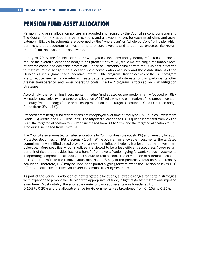### **PENSION FUND ASSET ALLOCATION**

Pension Fund asset allocation policies are adopted and revised by the Council as conditions warrant. The Council formally adopts target allocations and allowable ranges for each asset class and asset category. Eligible investments are governed by the "whole plan" or "whole portfolio" principle, which permits a broad spectrum of investments to ensure diversity and to optimize expected risk/return tradeoffs on the investments as a whole.

In August 2016, the Council adopted new targeted allocations that generally reflected a desire to reduce the overall allocation to hedge funds (from 12.5% to 6%) while maintaining a reasonable level of diversification and downside protection. These adjustments coincide with the Division's initiatives to restructure the hedge fund allocation via a consolidation of funds and the establishment of the Division's Fund Alignment and Incentive Reform (FAIR) program. Key objectives of the FAIR program are to reduce fees, enhance returns, create better alignment of interests for plan participants, offer greater transparency, and lower operating costs. The FAIR program is focused on Risk Mitigation strategies.

Accordingly, the remaining investments in hedge fund strategies are predominantly focused on Risk Mitigation strategies (with a targeted allocation of 5%) following the elimination of the target allocation to Equity-Oriented hedge funds and a sharp reduction in the target allocation to Credit-Oriented hedge funds (from 3% to 1%).

Proceeds from hedge fund redemptions are redeployed over time primarily to U.S. Equities, Investment Grade (IG) Credit, and U.S. Treasuries. The targeted allocation to U.S. Equities increased from 26% to 30%, the targeted allocation to IG Credit increased from 8% to 10%, and the targeted allocation to U.S. Treasuries increased from 2% to 3%.

The Council also eliminated targeted allocations to Commodities (previously 1%) and Treasury Inflation Protected Securities, or TIPS (previously 1.5%). While both remain allowable investments, the targeted commitments were lifted based broadly on a view that inflation hedging is a less important investment objective. More specifically, commodities are viewed to be a less efficient asset class (lower return per unit of risk) that provides less of a benefit from diversification, going forward, versus investments in operating companies that focus on exposure to real assets. The elimination of a formal allocation to TIPS better reflects the relative value role that TIPS play in the portfolio versus nominal Treasury securities. Therefore, TIPS may be used in the portfolio, going forward, when the Division believes TIPS offer more attractive relative value versus nominal Treasury securities.

As part of the Council's adoption of new targeted allocations, allowable ranges for certain strategies were expanded to provide the Division with appropriate latitude, in light of greater restrictions imposed elsewhere. Most notably, the allowable range for cash equivalents was broadened from 0-15% to 0-25% and the allowable range for Governments was broadened from 0–10% to 0-15%.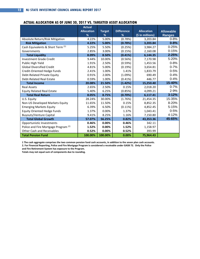### **ACTUAL ALLOCATION AS OF JUNE 30, 2017 VS. TARGETED ASSET ALLOCATION**

|                                                 | <b>Actual</b>     |               |                   |                   |                  |
|-------------------------------------------------|-------------------|---------------|-------------------|-------------------|------------------|
|                                                 | <b>Allocation</b> | <b>Target</b> | <b>Difference</b> | <b>Allocation</b> | <b>Allowable</b> |
|                                                 | %                 | %             | %                 | (\$ in millions)  | <b>Ranges</b>    |
| Absolute Return/Risk Mitigation                 | 4.22%             | 5.00%         | (0.78%)           | 3,203.84          | $0 - 8%$         |
| <b>Risk Mitigation</b>                          | 4.22%             | 5.00%         | (0.78%)           | 3,203.84          | $0 - 8%$         |
| Cash Equivalents & Short Term (1)               | 5.25%             | 5.50%         | (0.25%)           | 3,984.27          | $0 - 25%$        |
| Governments                                     | 2.85%             | 3.00%         | (0.15%)           | 2,160.08          | $0 - 15%$        |
| <b>Total Liquidity</b>                          | 8.09%             | 8.50%         | (0.41%)           | 6,144.35          | $2 - 25%$        |
| <b>Investment Grade Credit</b>                  | 9.44%             | 10.00%        | (0.56%)           | 7,170.98          | 5-20%            |
| Public High Yield                               | 1.91%             | 2.50%         | (0.59%)           | 1,453.56          | $0 - 8%$         |
| <b>Global Diversified Credit</b>                | 4.81%             | 5.00%         | (0.19%)           | 3,654.81          | $0 - 7%$         |
| Credit-Oriented Hedge Funds                     | 2.41%             | 1.00%         | 1.41%             | 1,833.79          | $0 - 5%$         |
| Debt-Related Private Equity                     | 0.91%             | 2.00%         | (1.09%)           | 690.49            | $0 - 4%$         |
| <b>Debt-Related Real Estate</b>                 | 0.59%             | 1.00%         | (0.41%)           | 446.77            | $0 - 4%$         |
| <b>Total Income</b>                             | 20.08%            | 21.50%        | (1.42%)           | 15,250.40         | 15-40%           |
| <b>Real Assets</b>                              | 2.65%             | 2.50%         | 0.15%             | 2,018.20          | $0 - 7%$         |
| <b>Equity Related Real Estate</b>               | 5.40%             | 6.25%         | (0.85%)           | 4,099.21          | 2-9%             |
| <b>Total Real Return</b>                        | 8.05%             | 8.75%         | (0.70%)           | 6,117.41          | $3 - 12%$        |
| U.S. Equity                                     | 28.24%            | 30.00%        | (1.76%)           | 21,454.35         | 15-35%           |
| Non-US Developed Markets Equity                 | 11.65%            | 11.50%        | 0.15%             | 8,852.35          | 8-20%            |
| <b>Emerging Markets Equity</b>                  | 6.39%             | 6.50%         | (0.11%)           | 4,852.45          | 5-15%            |
| <b>Equity Oriented Hedge Funds</b>              | 1.37%             | 0.00%         | 1.37%             | 1,043.41          | $0 - 5%$         |
| <b>Buyouts/Venture Capital</b>                  | 9.41%             | 8.25%         | 1.16%             | 7,150.80          | 4-12%            |
| <b>Total Global Growth</b>                      | 57.07%            | 56.25%        | 0.82%             | 43,353.36         | 45-65%           |
| Opportunistic Investments                       | 0.46%             | 0.00%         | 0.46%             | 342.11            |                  |
| Police and Fire Mortgage Program <sup>(2)</sup> | 1.52%             | 0.00%         | 1.52%             | 1,158.97          |                  |
| Other Cash and Receivables                      | 0.52%             | 0.00%         | 0.52%             | 393.99            |                  |
| <b>Total Pension Fund</b>                       | 100.00%           | 100.00%       | 0.00%             | 75.964.43         |                  |

**1 The cash aggregate comprises the two common pension fund cash accounts, in addition to the seven plan cash accounts.** 

**2. For Financial Reporting, Police and Fire Mortgage Program is considered a receivable under GASB 72. Only the Police** 

**and Fire Retirement System has exposure to the Program.**

**Totals may not equal sum of components due to rounding.**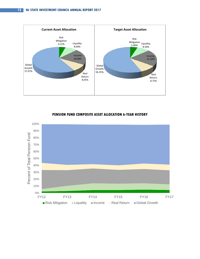



#### **PENSION FUND COMPOSITE ASSET ALLOCATION 6-YEAR HISTORY**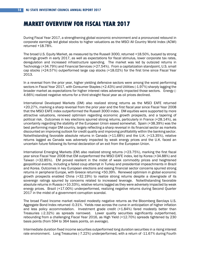### **MARKET OVERVIEW FOR FISCAL YEAR 2017**

During Fiscal Year 2017, a strengthening global economic environment and a pronounced rebound in corporate earnings led global stocks to higher valuations as the MSCI All Country World Index (ACWI) returned +18.78%.

The broad U.S. Equity Market, as measured by the Russell 3000, returned +18.50%, buoyed by strong earnings growth in early 2017, as well as expectations for fiscal stimulus, lower corporate tax rates, deregulation and increased infrastructure spending. The market was led by outsized returns in Technology (+34.79%) and Financial Services (+27.54%). From a capitalization standpoint, U.S. small cap stocks (+24.57%) outperformed large cap stocks (+18.02%) for the first time since Fiscal Year 2013.

In a reversal from the prior year, higher yielding defensive sectors were among the worst performing sectors in Fiscal Year 2017, with Consumer Staples (+2.43%) and Utilities (-1.97%) sharply lagging the broader market as expectations for higher interest rates adversely impacted those sectors. Energy (- 4.66%) realized negative returns for a third straight fiscal year as oil prices declined.

International Developed Markets (DM) also realized strong returns as the MSCI EAFE returned +20.27%, marking a sharp reversal from the prior year and the first fiscal year since Fiscal Year 2008 that the MSCI EAFE index outperformed the Russell 3000 index. DM equities were supported by more attractive valuations, renewed optimism regarding economic growth prospects, and a tapering of political risk. Outcomes in key elections spurred strong returns, particularly in France (+28.14%), as uncertainty regarding the stability of the European Union eased somewhat. Spain (+38.39%) was the best performing major DM country, largely reflecting a sharp reversal in its financial sector as markets discounted an improving outlook for credit quality and improving profitability within the banking sector. Notwithstanding favorable absolute returns in Canada (+11.68%) and the U.K. (+13.35%), relative returns lagged as Canada was adversely impacted by weak energy prices and the U.K. faced an uncertain future following its formal declaration of an exit from the European Union.

International Emerging Markets (EM) also realized strong returns (+23.75%), marking the first fiscal year since Fiscal Year 2008 that EM outperformed the MSCI EAFE index, led by Korea (+34.88%) and Taiwan (+32.85%). EM proved resilient in the midst of weak commodity prices and heightened geopolitical events, including a failed coup attempt in Turkey and presidential impeachments in Brazil and Korea. Outcomes in key European elections and easing financial sector concerns spurred strong returns in peripheral Europe, with Greece returning +50.39%. Renewed optimism in global economic growth prospects enabled China (+32.19%) to realize strong returns despite a downgrade of its sovereign ratings spurred by concerns related to increased leverage. Notwithstanding favorable absolute returns in Russia (+10.33%), relative returns lagged as they were adversely impacted by weak energy prices. Brazil (+17.00%) underperformed, realizing negative returns during Second Quarter 2017 in the midst of a government corruption scandal.

The broad Fixed Income market realized modestly negative returns as the Bloomberg Barclays U.S. Aggregate Bond Index returned -0.31%. Yields rose across the curve in anticipation of higher inflation and less policy accommodation. Investment grade credit (+1.84%) fared modestly better than Treasuries (-2.32%) as spreads narrowed. Lower quality securities significantly outperformed, rebounding from a challenging Fiscal Year 2016, as High Yield (+12.70%) spreads tightened by 230 basis points (from 594 to 364 basis points, on average).

Intermediate duration fixed income securities outperformed long duration securities in a rising interest rate environment. Long Treasuries (-7.22%) underperformed, with a return of -11.67% during Fourth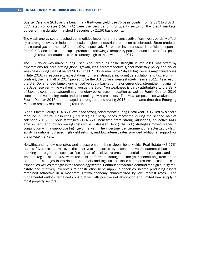Quarter Calendar 2016 as the benchmark thirty-year yield rose 75 basis points (from 2.32% to 3.07%). CCC rated corporates (+20.77%) were the best performing quality sector of the credit markets, outperforming duration-matched Treasuries by 2,156 basis points.

The weak energy sector pushed commodities lower for a third consecutive fiscal year, partially offset by a strong recovery in industrial metals as global industrial production accelerated. Brent crude oil and natural gas returned -13% and -10%, respectively. Surplus oil inventories, an insufficient response from OPEC, and a quick ramp up in production following a temporary price rebound led to a -24% peakto-trough return for crude oil from a January high to the low in June 2017.

The U.S. dollar was mixed during Fiscal Year 2017, as dollar strength in late 2016 was offset by expectations for accelerating global growth, less accommodative global monetary policy and dollar weakness during the first half of 2017. The U.S. dollar reached a 14-year high versus major currencies in late 2016, in response to expectations for fiscal stimulus, including deregulation and tax reform. In contrast, the first half of 2017 proved to be the U.S. dollar's weakest stretch since 2011. As a result, the U.S. Dollar ended largely unchanged versus a basket of major currencies, strengthening against the Japanese yen while weakening versus the Euro. Yen weakness is partly attributable to the Bank of Japan's continued extraordinary monetary policy accommodation as well as Fourth Quarter 2016 concerns of weakening trade and economic growth prospects. The Mexican peso also weakened in Fourth Quarter 2016, but managed a strong rebound during 2017, at the same time that Emerging Markets broadly realized strong returns.

Global Private Equity (+14.86%) exhibited strong performance during Fiscal Year 2017, led by a sharp rebound in Natural Resources (+21.19%) as energy prices recovered during the second half of calendar 2016. Buyout strategies (+14.55%) benefited from strong valuations, an active M&A environment, and low borrowing costs while Distressed Debt (+14.72%) strategies moved higher in conjunction with a supportive high yield market. The investment environment characterized by high equity valuations, outsized high yield returns, and low interest rates provided additional support for the private markets.

Notwithstanding low cap rates and pressure from rising global bond yields, Real Estate (+7.27%) earned favorable returns over the past year supported by a constructive fundamental backdrop, marking the eighth consecutive fiscal year of positive returns. Industrial property types and the western region of the U.S. were the best performers throughout the year, benefitting from broad patterns of changes in distribution channels and logistics as the e-commerce sector continues to expand, as well as strength in the technology sector. Continued favorable demand for high quality real estate and relatively low levels of construction kept supply in check as income producing assets remained attractive in a moderate growth economy characterized by low interest rates. The fundamental outlook remained constructive, with positive net absorption and limited new supply in most property sectors.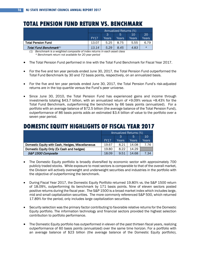### **TOTAL PENSION FUND RETURN VS. BENCHMARK**

|                                    | Annualized Returns (%) |       |       |       |         |
|------------------------------------|------------------------|-------|-------|-------|---------|
|                                    | 10<br>3<br>5           |       |       | 20    |         |
|                                    | FY17                   | Years | Years | Years | Years   |
| <b>Total Pension Fund</b>          | 13.07                  | 5.25  | 8.75  | 5.55  | 6.79    |
| Total Fund Benchmark <sup>1)</sup> | 13.14                  | 5.29  | 8.45  | 4.83  | $\star$ |

*(1) Benchmark is a weighted composite of index returns in each asset class \* Benchmark return not available for 20 year period*

- The Total Pension Fund performed in line with the Total Fund Benchmark for Fiscal Year 2017.
- For the five and ten year periods ended June 30, 2017, the Total Pension Fund outperformed the Total Fund Benchmark by 30 and 72 basis points, respectively, on an annualized basis.
- For the five and ten year periods ended June 30, 2017, the Total Pension Fund's risk-adjusted returns are in the top quartile versus the Fund's peer universe.
- Since June 30, 2010, the Total Pension Fund has experienced gains and income through investments totaling \$43.7 billion, with an annualized return of +9.09% versus +8.43% for the Total Fund Benchmark, outperforming the benchmark by 66 basis points (annualized). For a portfolio with an average balance of \$72.5 billion (the average balance of the Total Pension Fund), outperformance of 86 basis points adds an estimated \$3.4 billion of value to the portfolio over a seven year period.

### **DOMESTIC EQUITY HIGHLIGHTS OF FISCAL YEAR 2017**

|                                                  | Annualized Returns (%) |       |       |       |
|--------------------------------------------------|------------------------|-------|-------|-------|
|                                                  | 10<br>5<br>3           |       |       |       |
|                                                  | <b>FY17</b>            | Years | Years | Years |
| Domestic Equity with Cash, Hedges, Miscellaneous | 19.67                  | 8.21  | 14.08 | 7.76  |
| Domestic Equity Only (Ex Cash and hedges)        | 19.80                  | 8.22  | 14.29 |       |
| S&P 1500 Composite                               | 18.09                  | 9.51  | 14.68 | 7.34  |

- The Domestic Equity portfolio is broadly diversified by economic sector with approximately 700 publicly traded stocks. While exposure to most sectors is comparable to that of the overall market, the Division will actively overweight and underweight securities and industries in the portfolio with the objective of outperforming the benchmark.
- During Fiscal Year 2017, the Domestic Equity Portfolio returned 19.80% vs. the S&P 1500 return of 18.09%, outperforming its benchmark by 171 basis points. Nine of eleven sectors posted positive returns during the fiscal year. The S&P 1500 is a broad market index which includes large, mid and small capitalization securities. The more commonly referenced S&P 500, which returned 17.89% for the period, only includes large capitalization securities.
- Security selection was the primary factor contributing to favorable relative returns for the Domestic Equity portfolio. The information technology and financial sectors provided the highest selection contribution to portfolio performance.
- The Domestic Equity portfolio has outperformed in eleven of the past thirteen fiscal years, realizing outperformance of 60 basis points (annualized) over the same time horizon. For a portfolio with an average balance of \$23 billion (the average balance of the Domestic Equity portfolio),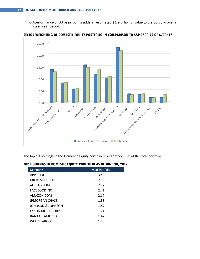outperformance of 60 basis points adds an estimated \$1.9 billion of value to the portfolio over a thirteen year period.



**SECTOR WEIGHTING OF DOMESTIC EQUITY PORTFOLIO IN COMPARISON TO S&P 1500 AS OF 6/30/17**

The top 10 holdings in the Domestic Equity portfolio represent 22.30% of the total portfolio.

| Company                 | % of Portfolio |
|-------------------------|----------------|
| <b>APPLE INC</b>        | 3.49           |
| MICROSOFT CORP          | 2.95           |
| ALPHABET INC            | 2.92           |
| <b>FACEBOOK INC</b>     | 2.41           |
| AMAZON.COM              | 2.17           |
| <b>JPMORGAN CHASE</b>   | 1.88           |
| JOHNSON & JOHNSON       | 1.87           |
| <b>FXXON MOBIL CORP</b> | 1.71           |
| <b>BANK OF AMFRICA</b>  | 1.47           |
| <b>WELLS FARGO</b>      | 1.43           |

### **TOP HOLDINGS IN DOMESTIC EQUITY PORTFOLIO AS OF JUNE 30, 2017**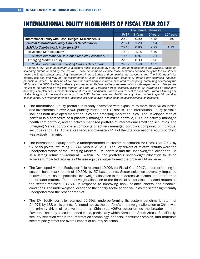### **INTERNATIONAL EQUITY HIGHLIGHTS OF FISCAL YEAR 2017**

|                                                                | Annualized Returns (%) |         |         |          |
|----------------------------------------------------------------|------------------------|---------|---------|----------|
|                                                                | <b>FY17</b>            | 3 Years | 5 Years | 10 Years |
| International Equity with Cash, Hedges, Miscellaneous          | 20.24                  | 0.90    | 6.48    | 0.50     |
| Custom International Equity Markets Benchmark <sup>(1)</sup>   | 21.21                  | 1.20    | 6.94    |          |
| <b>MSCI All Country World Index (ex U.S.)</b>                  | 20.45                  | 0.80    | 7.22    | 1.13     |
| Developed Markets Equity                                       | 19.02                  | 1.15    | 8.49    |          |
| Custom International Developed Markets Benchmark (1)           | 19.59                  | 0.87    | 8.31    |          |
| <b>Emerging Markets Equity</b>                                 | 22.69                  | 0.39    | 3.26    |          |
| Custom International Emerging Markets Benchmark <sup>(1)</sup> | 24.07                  | 1.48    | 4.33    |          |

*(1) Source: MSCI. Each benchmark is a custom index calculated by MSCI for, and as requested by the Division, based on screening criteria defined by the Division. These benchmarks exclude those securities deemed ineligible for investment under the State statutes governing investments in Iran, Sudan and companies that boycott Israel. The MSCI data is for internal use only and may not be redistributed or used in connection with creating or offering any securities, financial products or indices. Neither MSCI nor any other third party involved in or related to compiling, computing or creating the MSCI data (the "MSCI Parties") makes any express or implied warranties or representations with respect to such data (or the results to be obtained by the use thereof), and the MSCI Parties hereby expressly disclaim all warranties of originality, accuracy, completeness, merchantability or fitness for a particular purpose with respect to such data. Without limiting any of the foregoing, in no event shall any of the MSCI Parties have any liability for any direct, indirect, special, punitive, consequential or any other damages (including lost profits) even if notified of the possibility of such damages.* 

- The International Equity portfolio is broadly diversified with exposure to more than 50 countries and investments in over 2,500 publicly traded non-U.S. stocks. The International Equity portfolio includes both developed market equities and emerging market equities. The Developed Market portfolio is a composite of a passively managed optimized portfolio, ETFs, an actively managed health care portfolio, and an actively managed portfolio of international small cap securities. The Emerging Market portfolio is a composite of actively managed portfolios comprised of individual securities and ETFs. At fiscal year-end, approximately 41% of the total international equity portfolio was actively managed.
- The International Equity portfolio underperformed its custom benchmark for Fiscal Year 2017 by 97 basis points, returning 20.24% versus 21.21%. The key drivers of relative returns were the underperformance of the Emerging Markets (EM) portfolio and the underweight allocation to EM in a strong return environment. Within EM, the portfolio's underweight allocation to China adversely impacted returns as Chinese equities outperformed the broader EM universe.
- The Developed Market Equity portfolio returned 19.02% for Fiscal Year 2017, underperforming its custom benchmark return of 19.59% by 57 basis points. Sector selection adversely impacted relative returns as the portfolio's overweight allocation to more defensive sectors underperformed the broader market. The underweight allocation to the financial sector also impacted returns as the sector returned +36.5%, in response to improving bank balance sheets and financial conditions. The underweight allocation to the energy sector added value as the sector significantly underperformed the broader market.
- The EM Equity portfolio returned 22.69%, underperforming its custom benchmark return of 24.07% by 138 basis points*.* As noted above, the portfolio's underweight allocation to China was the primary driver of relative returns as China (up +26%) outperformed the broader market. Favorable security selection added value, particularly within Korea and South Africa. Specifically, security selection within the information technology, financial, consumer staples, and materials sectors partly offset the overall impact of country selection.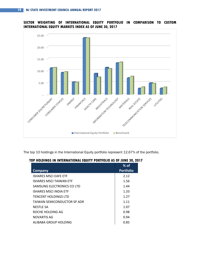

### **SECTOR WEIGHTING OF INTERNATIONAL EQUITY PORTFOLIO IN COMPARISON TO CUSTOM INTERNATIONAL EQUITY MARKETS INDEX AS OF JUNE 30, 2017**

The top 10 holdings in the International Equity portfolio represent 12.67% of the portfolio.

### **TOP HOLDINGS IN INTERNATIONAL EQUITY PORTFOLIO AS OF JUNE 30, 2017**

|                               | $%$ of           |
|-------------------------------|------------------|
| <b>Company</b>                | <b>Portfolio</b> |
| ISHARES MSCLEAFF FTF          | 2.12             |
| ISHARES MSCLTAIWAN FTF        | 1.56             |
| SAMSUNG FLECTRONICS CO LTD    | 1.44             |
| <b>ISHARES MSCI INDIA ETF</b> | 1.33             |
| <b>TENCENT HOLDINGS LTD</b>   | 1.27             |
| TAIWAN SEMICONDUCTOR SP ADR   | 1.11             |
| NESTLE SA                     | 1.07             |
| ROCHE HOLDING AG              | 0.98             |
| NOVARTIS AG                   | 0.94             |
| ALIBABA GROUP HOLDING         | 0.85             |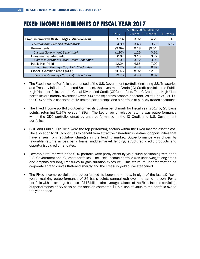|                                                 | Annualized Returns (%) |         |         |          |  |  |
|-------------------------------------------------|------------------------|---------|---------|----------|--|--|
|                                                 | <b>FY17</b>            | 3 Years | 5 Years | 10 Years |  |  |
| Fixed Income with Cash, Hedges, Miscellaneous   | 5.14                   | 3.92    | 4.20    | 7.43     |  |  |
| <b>Fixed Income Blended Benchmark</b>           | 4.89                   | 3.43    | 3.70    | 6.57     |  |  |
| Governments                                     | (2.69)                 | 0.18    | (0.51)  |          |  |  |
| <b>Custom Government Benchmark</b>              | (1.97)                 | 1.26    | 0.61    |          |  |  |
| Investment Grade Credit                         | 0.67                   | 3.13    | 3.27    |          |  |  |
| <b>Custom Investment Grade Credit Benchmark</b> | 1.01                   | 3.12    | 3.03    |          |  |  |
| Public High Yield                               | 12.24                  | 4.65    | 7.00    |          |  |  |
| Bloomberg Barclays Corp High Yield Index        | 12.70                  | 4.48    | 6.89    |          |  |  |
| Global Diversified Credit (GDC)                 | 16.46                  | 8.02    | 12.10   |          |  |  |
| Bloomberg Barclays Corp High Yield Index        | 12.70                  | 4.48    | 6.89    |          |  |  |

### **FIXED INCOME HIGHLIGHTS OF FISCAL YEAR 2017**

- The Fixed Income Portfolio is comprised of the U.S. Government portfolio (including U.S. Treasuries and Treasury Inflation Protected Securities), the Investment Grade (IG) Credit portfolio, the Public High Yield portfolio, and the Global Diversified Credit (GDC) portfolio. The IG Credit and High Yield portfolios are broadly diversified (over 900 credits) across economic sectors. As of June 30, 2017, the GDC portfolio consisted of 15 limited partnerships and a portfolio of publicly traded securities.
- The Fixed Income portfolio outperformed its custom benchmark for Fiscal Year 2017 by 25 basis points, returning 5.14% versus 4.89%. The key driver of relative returns was outperformance within the GDC portfolio, offset by underperformance in the IG Credit and U.S. Government portfolios.
- GDC and Public High Yield were the top performing sectors within the Fixed Income asset class. The allocation to GDC continues to benefit from attractive risk-return investment opportunities that have arisen from regulatory changes in the lending market. Outperformance was driven by favorable returns across bank loans, middle-market lending, structured credit products and opportunistic credit mandates.
- Favorable returns within the GDC portfolio were partly offset by yield curve positioning within the U.S. Government and IG Credit portfolios. The Fixed Income portfolio was underweight long credit and emphasized long Treasuries to gain duration exposure. This structure underperformed as corporate spread curves flattened sharply and the Treasury yield curve steepened.
- The Fixed Income portfolio has outperformed its benchmark index in eight of the last 10 fiscal years, realizing outperformance of 86 basis points (annualized) over the same horizon. For a portfolio with an average balance of \$18 billion (the average balance of the Fixed Income portfolio), outperformance of 86 basis points adds an estimated \$1.6 billion of value to the portfolio over a ten-year period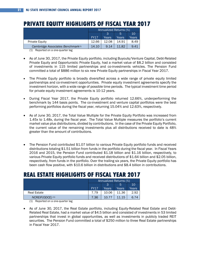### **PRIVATE EQUITY HIGHLIGHTS OF FISCAL YEAR 2017**

|                                   | Annualized Returns (%) |       |       |       |  |  |  |
|-----------------------------------|------------------------|-------|-------|-------|--|--|--|
|                                   | 10<br>З<br>5           |       |       |       |  |  |  |
|                                   | <b>FY17</b>            | Years | Years | Years |  |  |  |
| <b>Private Equity</b>             | 12.66                  | 12.08 | 14.91 | 8.49  |  |  |  |
| Cambridge Associates Benchmark(1) | 14.10                  | 9.14  | 11.82 | 941   |  |  |  |

(1) Reported on a one-quarter lag

- As of June 30, 2017, the Private Equity portfolio, including Buyouts/Venture Capital, Debt-Related Private Equity and Opportunistic Private Equity, had a market value of \$8.2 billion and consisted of investments in 115 limited partnerships and co-investments vehicles. The Pension Fund committed a total of \$886 million to six new Private Equity partnerships in Fiscal Year 2017.
- The Private Equity portfolio is broadly diversified across a wide range of private equity limited partnerships and co-investment opportunities. Private equity investment agreements specify the investment horizon, with a wide range of possible time periods. The typical investment time period for private equity investment agreements is 10-12 years.
- During Fiscal Year 2017, the Private Equity portfolio returned 12.66%, underperforming the benchmark by 144 basis points. The co-investment and venture capital portfolios were the best performing portfolios during the fiscal year, returning 15.04% and 12.63%, respectively.
- As of June 30, 2017, the Total Value Multiple for the Private Equity Portfolio was increased from 1.45x to 1.48x, during the fiscal year. The Total Value Multiple measures the portfolio's current market value plus distributions, divided by contributions. In the case of the Private Equity Portfolio, the current value of the remaining investments plus all distributions received to date is 48% greater than the amount of contributions.
- The Pension Fund contributed \$1.07 billion to various Private Equity portfolio funds and received distributions totaling \$1.51 billion from funds in the portfolio during the fiscal year. In Fiscal Years 2016 and 2015, the Pension Fund contributed \$1.18 billion and \$1.16 billion, respectively, to various Private Equity portfolio funds and received distributions of \$1.64 billion and \$2.05 billion, respectively, from funds in the portfolio. Over the trailing six years, the Private Equity portfolio has been cash flow positive, with \$10.6 billion in distributions and \$8.4 billion in contributions.

### **REAL ESTATE HIGHLIGHTS OF FISCAL YEAR 2017**

|                             | Annualized Returns (%) |       |       |       |  |  |
|-----------------------------|------------------------|-------|-------|-------|--|--|
|                             | З<br>10<br>5           |       |       |       |  |  |
|                             | <b>FY17</b>            | Years | Years | Years |  |  |
| <b>Real Estate</b>          | 7.79                   | 10.06 | 11.36 | 2.92  |  |  |
| NCREIF(ODCE) <sup>(1)</sup> | 7.36                   | 10.77 | 11.15 | 6.74  |  |  |

(1) Reported on a one-quarter lag

• As of June 30, 2017, the Real Estate portfolio, including Equity-Related Real Estate and Debt-Related Real Estate, had a market value of \$4.5 billion and consisted of investments in 53 limited partnerships that invest in global opportunities, as well as investments in publicly traded REIT securities. The Pension Fund committed a total of \$250 million to three Real Estate partnerships in Fiscal Year 2017.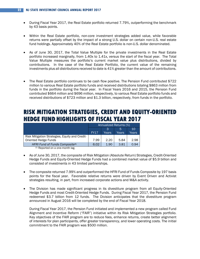- During Fiscal Year 2017, the Real Estate portfolio returned 7.79%, outperforming the benchmark by 43 basis points.
- Within the Real Estate portfolio, non-core investment strategies added value, while favorable returns were partially offset by the impact of a strong U.S. dollar on certain non-U.S. real estate fund holdings. Approximately 40% of the Real Estate portfolio is non-U.S. dollar denominated.
- As of June 30, 2017, the Total Value Multiple for the private investments in the Real Estate portfolio increased marginally, from 1.40x to 1.41x, versus the start of the fiscal year. The Total Value Multiple measures the portfolio's current market value plus distributions, divided by contributions. In the case of the Real Estate Portfolio, the current value of the remaining investments plus all distributions received to date is 41% greater than the amount of contributions.
- The Real Estate portfolio continues to be cash flow positive. The Pension Fund contributed \$722 million to various Real Estate portfolio funds and received distributions totaling \$863 million from funds in the portfolio during the fiscal year. In Fiscal Years 2016 and 2015, the Pension Fund contributed \$664 million and \$696 million, respectively, to various Real Estate portfolio funds and received distributions of \$723 million and \$1.3 billion, respectively, from funds in the portfolio.

### **RISK MITIGATION STRATEGIES, CREDIT AND EQUITY-ORIENTED HEDGE FUND HIGHLIGHTS OF FISCAL YEAR 2017**

|                                                | Annualized Returns (%) |       |       |       |  |
|------------------------------------------------|------------------------|-------|-------|-------|--|
|                                                | 10<br>З<br>5           |       |       |       |  |
|                                                | <b>FY17</b>            | Years | Years | Years |  |
| Risk Mitigation Strategies, Equity and Credit- |                        |       |       |       |  |
| Oriented Hedge Funds                           | 7.99                   | 2.20  | 5.84  | 2.98  |  |
| HFRI Fund of Funds Composite <sup>(1)</sup>    | 6.02                   | 1.90  | 3.81  | 0.94  |  |

(1) Reported on a one-month lag.

- As of June 30, 2017, the composite of Risk Mitigation (Absolute Return) Strategies, Credit-Oriented Hedge Funds and Equity-Oriented Hedge Funds had a combined market value of \$5.9 billion and consisted of investments in 43 limited partnerships.
- The composite returned 7.99% and outperformed the HFRI Fund of Funds Composite by 197 basis points for the fiscal year. Favorable relative returns were driven by Event Driven and Activist strategies resulting, in part, from increased corporate actions and M&A activity.
- The Division has made significant progress in its divestiture program from all Equity-Oriented Hedge Funds and most Credit-Oriented Hedge Funds. During Fiscal Year 2017, the Pension Fund redeemed \$3.7 billion from 12 funds. The Division anticipates that the divestiture program announced in August 2016 will be completed by the end of Fiscal Year 2018.

During Fiscal Year 2017, the Pension Fund initiated and implemented a new program called Fund Alignment and Incentive Reform ("FAIR") initiative within its Risk Mitigation Strategies portfolio. Key objectives of the FAIR program are to reduce fees, enhance returns, create better alignment of interests for plan participants, offer greater transparency, and lower operating costs. The initial commitment to the FAIR program was \$500 million.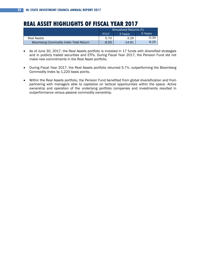### **REAL ASSET HIGHLIGHTS OF FISCAL YEAR 2017**

|                                               | Annualized Returns (%) |         |         |  |  |  |
|-----------------------------------------------|------------------------|---------|---------|--|--|--|
|                                               | <b>FY17</b><br>3 Years |         |         |  |  |  |
| Real Assets                                   | 5.70                   | $-3.29$ | $-0.34$ |  |  |  |
| <b>Bloomberg Commodity Index Total Return</b> | $-6.50$                | -14.81  | $-9.25$ |  |  |  |

- As of June 30, 2017, the Real Assets portfolio is invested in 17 funds with diversified strategies and in publicly traded securities and ETFs. During Fiscal Year 2017, the Pension Fund did not make new commitments in the Real Asset portfolio.
- During Fiscal Year 2017, the Real Assets portfolio returned 5.7%, outperforming the Bloomberg Commodity Index by 1,220 basis points.
- Within the Real Assets portfolio, the Pension Fund benefited from global diversification and from partnering with managers able to capitalize on tactical opportunities within the space. Active ownership and operation of the underlying portfolio companies and investments resulted in outperformance versus passive commodity ownership.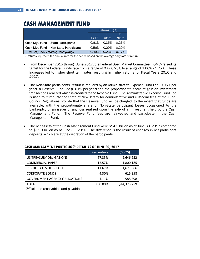### **CASH MANAGEMENT FUND**

|                                         | Returns $(1)$ (%) |       |       |  |  |  |
|-----------------------------------------|-------------------|-------|-------|--|--|--|
|                                         |                   | 5     |       |  |  |  |
|                                         | <b>FY17</b>       | Years | Years |  |  |  |
| Cash Mgt. Fund - State Participants     | 0.61%             | 0.35% | 0.26% |  |  |  |
| Cash Mgt. Fund - Non-State Participants | 0.56%             | 0.29% | 0.20% |  |  |  |
| 91 Day U.S. Treasury Bills (Daily)      | 0.49%             | 0.23% | 0.17% |  |  |  |

 $<sup>(1)</sup>$  Returns represent the annual rate for the period based on the average daily rate of return.</sup>

- From December 2015 through June 2017, the Federal Open Market Committee (FOMC) raised its target for the Federal Funds rate from a range of 0% - 0.25% to a range of 1.00% - 1.25%. These increases led to higher short term rates, resulting in higher returns for Fiscal Years 2016 and 2017.
- The Non-State participants' return is reduced by an Administrative Expense Fund Fee (0.05% per year), a Reserve Fund Fee (0.01% per year) and the proportionate share of gain on investment transactions realized which is credited to the Reserve Fund. The Administrative Expense Fund Fee is used to reimburse the State of New Jersey for administrative and custodial fees of the Fund. Council Regulations provide that the Reserve Fund will be charged, to the extent that funds are available, with the proportionate share of Non-State participant losses occasioned by the bankruptcy of an issuer or any loss realized upon the sale of an investment held by the Cash Management Fund. The Reserve Fund fees are reinvested and participate in the Cash Management Fund.
- The net assets of the Cash Management Fund were \$14.3 billion as of June 30, 2017 compared to \$11.8 billion as of June 30, 2016. The difference is the result of changes in net participant deposits, which are at the discretion of the participants.

|                                      | Percentage | (000'S)      |
|--------------------------------------|------------|--------------|
| <b>US TREASURY OBLIGATIONS</b>       | 67.35%     | 9,646,232    |
| <b>COMMERCIAL PAPER</b>              | 12.57%     | 1,800,185    |
| <b>CERTIFICATES OF DEPOSIT</b>       | 11.67%     | 1,671,886    |
| <b>CORPORATE BONDS</b>               | 4.30%      | 616,358      |
| <b>GOVERNMENT AGENCY OBLIGATIONS</b> | 4.11%      | 588,598      |
| TOTAL                                | 100.00%    | \$14,323,259 |

#### **CASH MANAGEMENT PORTFOLIO (1) DETAIL AS OF JUNE 30, 2017**

(1)Excludes receivables and payables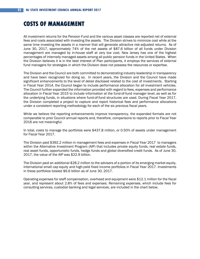### **COSTS OF MANAGEMENT**

All investment returns for the Pension Fund and the various asset classes are reported net of external fees and costs associated with investing the assets. The Division strives to minimize cost while at the same time investing the assets in a manner that will generate attractive risk-adjusted returns. As of June 30, 2017, approximately 74% of the net assets of \$87.6 billion of all funds under Division management are managed by in-house staff at very low cost. New Jersey has one of the highest percentages of internally managed assets among all public pension funds in the United States. When the Division believes it is in the best interest of Plan participants, it employs the services of external fund managers for strategies in which the Division does not possess the resources or expertise.

The Division and the Council are both committed to demonstrating industry leadership in transparency and have been recognized for doing so. In recent years, the Division and the Council have made significant enhancements to the level of detail disclosed related to the cost of investments. Starting in Fiscal Year 2014, the Council began to include performance allocation for all investment vehicles. The Council further expanded the information provided with regard to fees, expenses and performance allocation in Fiscal Year 2015 to include information at the fund-of-fund manager level, as well as for the underlying funds, in situations where fund-of-fund structures are used. During Fiscal Year 2017, the Division completed a project to capture and report historical fees and performance allocations under a consistent reporting methodology for each of the six previous fiscal years.

While we believe the reporting enhancements improve transparency, the expanded formats are not comparable to prior Council annual reports and, therefore, comparisons to reports prior to Fiscal Year 2016 are not meaningful.

In total, costs to manage the portfolios were \$437.8 million, or 0.50% of assets under management for Fiscal Year 2017.

The Division paid \$392.2 million in management fees and expenses in Fiscal Year 2017 to managers within the Alternative Investment Program (AIP) that includes private equity funds, real estate funds, real asset funds, opportunistic funds, hedge funds and global diversified credit funds. As of June 30, 2017, the value of the AIP was \$22.9 billion.

The Division paid an additional \$28.2 million to the advisers of a portion of its emerging market equity, international small cap equity and high-yield fixed income portfolios in Fiscal Year 2017. Investments in these portfolios totaled \$6.6 billion as of June 30, 2017.

Operating expenses for staff compensation, overhead and equipment were \$12.1 million for the fiscal year, and represent about 2.8% of fees and expenses. Remaining expenses, which include fees for consulting services, custodial banking and legal services, are included in the chart below.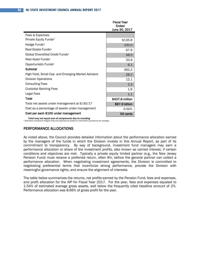|                                                    | Fiscal Year<br>Ended<br>June 30, 2017 |
|----------------------------------------------------|---------------------------------------|
| Fees & Expenses:                                   |                                       |
| Private Equity Funds <sup>1</sup>                  | \$135.8                               |
| Hedge Funds <sup>1</sup>                           | 100.0                                 |
| Real Estate Funds <sup>1</sup>                     | 67.9                                  |
| Global Diversified Credit Funds <sup>1</sup>       | 48.5                                  |
| Real Asset Funds <sup>1</sup>                      | 33.9                                  |
| Opportunistic Funds <sup>1</sup>                   | 6.1                                   |
| Subtotal                                           | 392.2                                 |
| High-Yield, Small Cap and Emerging Market Advisers | 28.2                                  |
| <b>Division Operations</b>                         | 12.1                                  |
| <b>Consulting Fees</b>                             | 2.3                                   |
| <b>Custodial Banking Fees</b>                      | 1.9                                   |
| Legal Fees                                         | 1.1                                   |
| Total                                              | \$437.8 million                       |
| Total net assets under management at 6/30/17       | \$87.6 billion                        |
| Cost as a percentage of assets under management    | 0.50%                                 |
| Cost per each \$100 under management               | 50 cents                              |

 **Total may not equal sum of components due to rounding** <sup>1</sup> Alternative Investment Program fees and expenses are based on information provided by the manager.

#### PERFORMANCE ALLOCATIONS

As noted above, the Council provides detailed information about the performance allocation earned by the managers of the funds in which the Division invests in this Annual Report, as part of its commitment to transparency. By way of background, investment fund managers may earn a performance allocation or share of the investment profits, also known as carried interest, if certain conditions and objectives are met. Typically a private equity limited partner (e.g., the New Jersey Pension Fund) must receive a preferred return, often 8%, before the general partner can collect a performance allocation. When negotiating investment agreements, the Division is committed to negotiating preferential terms that incentivize strong performance, provide the Division with meaningful governance rights, and ensure the alignment of interests.

The table below summarizes the returns, net profits earned by the Pension Fund, fees and expenses, and profit allocation for the AIP for Fiscal Year 2017. For the year, fees and expenses equated to 1.54% of estimated average gross assets, well below the frequently cited headline amount of 2%. Performance allocation was 8.66% of gross profit for the year.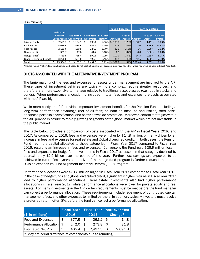#### (\$ in millions)

|                                  |    |                                                        |   |                  |    |                  |                                  | <b>Fees &amp; Expenses</b> |               |                          | <b>Profit Allocation</b> |                            |                          |
|----------------------------------|----|--------------------------------------------------------|---|------------------|----|------------------|----------------------------------|----------------------------|---------------|--------------------------|--------------------------|----------------------------|--------------------------|
|                                  |    | <b>Estimated</b>                                       |   |                  |    |                  |                                  |                            |               |                          |                          |                            |                          |
|                                  |    | Average<br><b>Gross Assets Gross Profit Net Profit</b> |   | <b>Estimated</b> |    | <b>Estimated</b> | <b>FY17 Net</b><br><b>Return</b> |                            | <b>Amount</b> | As % of<br><b>Assets</b> | <b>Amount</b>            | As $%$ of<br><b>Assets</b> | As % of<br><b>Profit</b> |
| Private Equity                   | Ś. | 7.599.3                                                | Ś | 1.124.1          | S. | 898.1            | 12.66%                           | Ŝ.                         | 135.8         | 1.79%                    | 90.2<br>Ŝ.               | 1.19%                      | 8.03%                    |
| Real Estate                      |    | 4.679.9                                                |   | 488.6            |    | 347.7            | 7.79%I                           |                            | 67.9          | 1.45%                    | 73.0                     | 1.56%                      | 14.93%                   |
| Real Assets                      |    | 2,139.6                                                |   | 160.5            |    | 124.9            | 5.70%                            |                            | 33.9          | 1.58%                    | 1.6                      | 0.08%                      | 1.02%                    |
| Opportunistic                    |    | 325.7                                                  |   | 47.8             |    | 41.7             | 15.18%                           |                            | 6.1           | 1.87%                    | 0.0                      | 0.00%                      | 0.00%                    |
| Hedge Funds <sup>1</sup>         |    | 7.469.8                                                |   | 758.4            |    | 592.1            | 7.99%                            |                            | 100.0         | 1.34%                    | 66.3                     | 0.89%                      | 8.75%                    |
| <b>Global Diversified Credit</b> |    | 3.290.6                                                |   | 584.0            |    | 492.8            | 16.46%                           |                            | 48.5          | 1.48%                    | 42.6                     | 1.30%                      | 7.30%                    |
| Total                            |    | 25.504.9                                               |   | 3.163.3          |    | 2.497.3          | 10.12%                           | S.                         | 392.2         | 1.54%                    | \$273.8                  | 1.07%                      | 8.66%                    |

 $^{\rm 1}$  Hedge Funds Profit Allocation has been adjusted to reflect \$14.1 million in accrued incentive fees that were reported as paid in Fiscal Year 2016.

### COSTS ASSOCIATED WITH THE ALTERNATIVE INVESTMENT PROGRAM

The large majority of the fees and expenses for assets under management are incurred by the AIP. These types of investment vehicles are typically more complex, require greater resources, and therefore are more expensive to manage relative to traditional asset classes (e.g., public stocks and bonds). When performance allocation is included in total fees and expenses, the costs associated with the AIP are higher.

While more costly, the AIP provides important investment benefits for the Pension Fund, including a long-term performance advantage (net of all fees) on both an absolute and risk-adjusted basis, enhanced portfolio diversification, and better downside protection. Moreover, certain strategies within the AIP provide exposure to rapidly growing segments of the global market which are not investable in the public market.

The table below provides a comparison of costs associated with the AIP in Fiscal Years 2016 and 2017. As compared to 2016, fees and expenses were higher by \$14.8 million, primarily driven by an increase in fees and expenses for real estate and global diversified credit. In both cases, the Pension Fund had more capital allocated to those categories in Fiscal Year 2017 compared to Fiscal Year 2016, resulting an increase in fees and expenses. Conversely, the Fund paid \$26.9 million less in fees and expenses for hedge fund investments in Fiscal 2017 as assets in that category declined by approximately \$2.5 billion over the course of the year. Further cost savings are expected to be achieved in future fiscal years as the size of the hedge fund program is further reduced and as the Division expands its Fund Alignment Incentive Reform (FAIR) Program.

Performance allocations were \$31.8 million higher in Fiscal Year 2017 compared to Fiscal Year 2016. In the case of hedge funds and global diversified credit, significantly higher returns in Fiscal Year 2017 lead to higher performance allocations. Real estate investments also had higher performance allocations in Fiscal Year 2017, while performance allocations were lower for private equity and real assets. For many investments in the AIP, certain requirements must be met before the fund manager can collect a performance allocation. These requirements include repayment of contributed capital, management fees, and other expenses to limited partners. In addition, typically investors must receive a preferred return, often 8%, before the fund can collect a performance allocation.

|                                                          |      | <b>Fiscal Year</b> |     |         | <b>Fiscal Year Year over Year</b> |         |  |  |
|----------------------------------------------------------|------|--------------------|-----|---------|-----------------------------------|---------|--|--|
| $(\$$ in millions)                                       | 2016 |                    |     | 2017    | Change*                           |         |  |  |
| Fees and Expenses                                        | \$   | 377.5              | -\$ | 392.2   | -\$                               | 14.8    |  |  |
| Performance Allocation   \$                              |      | 242.0              | \$  | 273.8   | \$                                | 31.8    |  |  |
| <b>Estimated Net Profit</b>                              | \$   | 405.4              | \$  | 2,497.3 | -\$                               | 2,091.8 |  |  |
| * May not equal difference of components due to rounding |      |                    |     |         |                                   |         |  |  |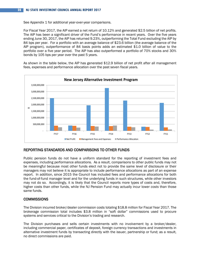See Appendix 1 for additional year-over-year comparisons.

For Fiscal Year 2017, the AIP earned a net return of 10.12% and generated \$2.5 billion of net profits. The AIP has been a significant driver of the Fund's performance in recent years. Over the five years ending June 30, 2017, the AIP has returned 9.23%, outperforming the Total Fund excluding the AIP by 84 bps per year. For a portfolio with an average balance of \$23.6 billion (the average balance of the AIP program), outperformance of 84 basis points adds an estimated \$1.0 billion of value to the portfolio over a five year period. The AIP has also outperformed a portfolio of 70% stocks and 30% bonds by 105 bps per year over the past 5 years.

As shown in the table below, the AIP has generated \$12.9 billion of net profit after all management fees, expenses and performance allocation over the past seven fiscal years.



### REPORTING STANDARDS AND COMPARISONS TO OTHER FUNDS

Public pension funds do not have a uniform standard for the reporting of investment fees and expenses, including performance allocations. As a result, comparisons to other public funds may not be meaningful because most other funds elect not to provide the same level of disclosure or their managers may not believe it is appropriate to include performance allocations as part of an expense report. In addition, since 2015 the Council has included fees and performance allocations for both the fund-of-fund manager level and for the underlying funds in such structures, while other investors may not do so. Accordingly, it is likely that the Council reports more types of costs and, therefore, higher costs than other funds, while the NJ Pension Fund may actually incur lower *costs* than those same funds.

#### **COMMISSIONS**

The Division incurred broker/dealer commission costs totaling \$18.8 million for Fiscal Year 2017. The brokerage commission total includes \$3.8 million in "soft dollar" commissions used to procure systems and services critical to the Division's trading and research.

The Division purchases and sells certain investments with no involvement by a broker/dealer, including commercial paper, certificates of deposit, foreign currency transactions and investments in alternative investment funds by transacting directly with the issuer, partnership or fund; as a result, no direct commissions are paid.